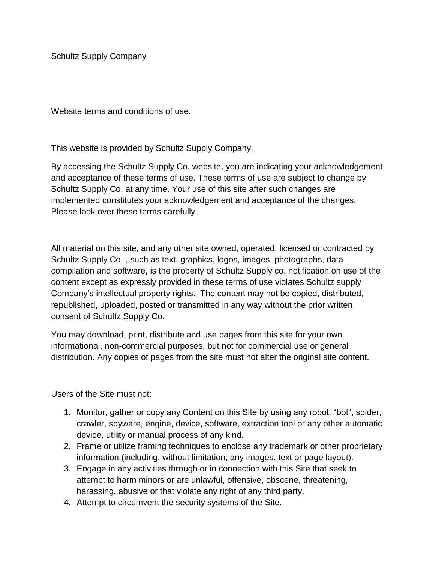Schultz Supply Company

Website terms and conditions of use.

This website is provided by Schultz Supply Company.

By accessing the Schultz Supply Co. website, you are indicating your acknowledgement and acceptance of these terms of use. These terms of use are subject to change by Schultz Supply Co. at any time. Your use of this site after such changes are implemented constitutes your acknowledgement and acceptance of the changes. Please look over these terms carefully.

All material on this site, and any other site owned, operated, licensed or contracted by Schultz Supply Co. , such as text, graphics, logos, images, photographs, data compilation and software, is the property of Schultz Supply co. notification on use of the content except as expressly provided in these terms of use violates Schultz supply Company's intellectual property rights. The content may not be copied, distributed, republished, uploaded, posted or transmitted in any way without the prior written consent of Schultz Supply Co.

You may download, print, distribute and use pages from this site for your own informational, non-commercial purposes, but not for commercial use or general distribution. Any copies of pages from the site must not alter the original site content.

Users of the Site must not:

- 1. Monitor, gather or copy any Content on this Site by using any robot, "bot", spider, crawler, spyware, engine, device, software, extraction tool or any other automatic device, utility or manual process of any kind.
- 2. Frame or utilize framing techniques to enclose any trademark or other proprietary information (including, without limitation, any images, text or page layout).
- 3. Engage in any activities through or in connection with this Site that seek to attempt to harm minors or are unlawful, offensive, obscene, threatening, harassing, abusive or that violate any right of any third party.
- 4. Attempt to circumvent the security systems of the Site.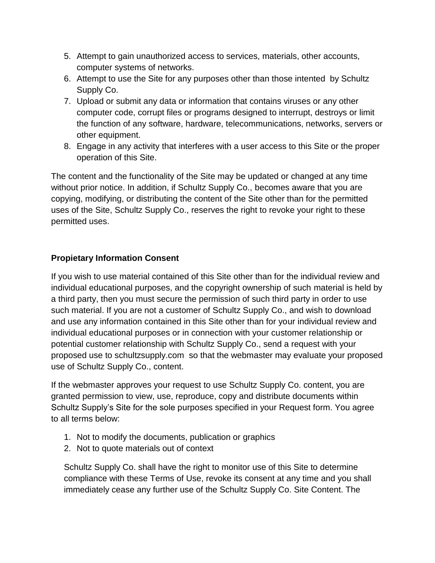- 5. Attempt to gain unauthorized access to services, materials, other accounts, computer systems of networks.
- 6. Attempt to use the Site for any purposes other than those intented by Schultz Supply Co.
- 7. Upload or submit any data or information that contains viruses or any other computer code, corrupt files or programs designed to interrupt, destroys or limit the function of any software, hardware, telecommunications, networks, servers or other equipment.
- 8. Engage in any activity that interferes with a user access to this Site or the proper operation of this Site.

The content and the functionality of the Site may be updated or changed at any time without prior notice. In addition, if Schultz Supply Co., becomes aware that you are copying, modifying, or distributing the content of the Site other than for the permitted uses of the Site, Schultz Supply Co., reserves the right to revoke your right to these permitted uses.

# **Propietary Information Consent**

If you wish to use material contained of this Site other than for the individual review and individual educational purposes, and the copyright ownership of such material is held by a third party, then you must secure the permission of such third party in order to use such material. If you are not a customer of Schultz Supply Co., and wish to download and use any information contained in this Site other than for your individual review and individual educational purposes or in connection with your customer relationship or potential customer relationship with Schultz Supply Co., send a request with your proposed use to schultzsupply.com so that the webmaster may evaluate your proposed use of Schultz Supply Co., content.

If the webmaster approves your request to use Schultz Supply Co. content, you are granted permission to view, use, reproduce, copy and distribute documents within Schultz Supply's Site for the sole purposes specified in your Request form. You agree to all terms below:

- 1. Not to modify the documents, publication or graphics
- 2. Not to quote materials out of context

Schultz Supply Co. shall have the right to monitor use of this Site to determine compliance with these Terms of Use, revoke its consent at any time and you shall immediately cease any further use of the Schultz Supply Co. Site Content. The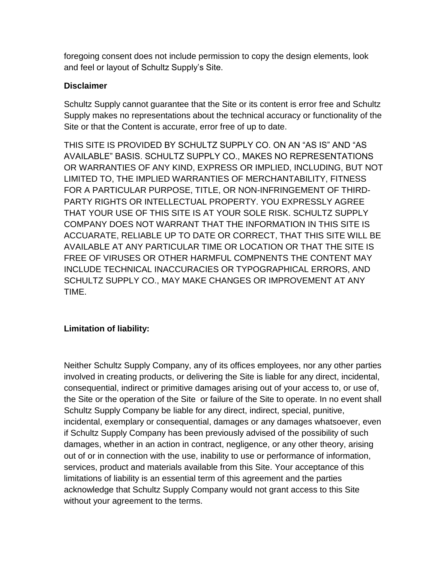foregoing consent does not include permission to copy the design elements, look and feel or layout of Schultz Supply's Site.

## **Disclaimer**

Schultz Supply cannot guarantee that the Site or its content is error free and Schultz Supply makes no representations about the technical accuracy or functionality of the Site or that the Content is accurate, error free of up to date.

THIS SITE IS PROVIDED BY SCHULTZ SUPPLY CO. ON AN "AS IS" AND "AS AVAILABLE" BASIS. SCHULTZ SUPPLY CO., MAKES NO REPRESENTATIONS OR WARRANTIES OF ANY KIND, EXPRESS OR IMPLIED, INCLUDING, BUT NOT LIMITED TO, THE IMPLIED WARRANTIES OF MERCHANTABILITY, FITNESS FOR A PARTICULAR PURPOSE, TITLE, OR NON-INFRINGEMENT OF THIRD-PARTY RIGHTS OR INTELLECTUAL PROPERTY. YOU EXPRESSLY AGREE THAT YOUR USE OF THIS SITE IS AT YOUR SOLE RISK. SCHULTZ SUPPLY COMPANY DOES NOT WARRANT THAT THE INFORMATION IN THIS SITE IS ACCUARATE, RELIABLE UP TO DATE OR CORRECT, THAT THIS SITE WILL BE AVAILABLE AT ANY PARTICULAR TIME OR LOCATION OR THAT THE SITE IS FREE OF VIRUSES OR OTHER HARMFUL COMPNENTS THE CONTENT MAY INCLUDE TECHNICAL INACCURACIES OR TYPOGRAPHICAL ERRORS, AND SCHULTZ SUPPLY CO., MAY MAKE CHANGES OR IMPROVEMENT AT ANY TIME.

# **Limitation of liability:**

Neither Schultz Supply Company, any of its offices employees, nor any other parties involved in creating products, or delivering the Site is liable for any direct, incidental, consequential, indirect or primitive damages arising out of your access to, or use of, the Site or the operation of the Site or failure of the Site to operate. In no event shall Schultz Supply Company be liable for any direct, indirect, special, punitive, incidental, exemplary or consequential, damages or any damages whatsoever, even if Schultz Supply Company has been previously advised of the possibility of such damages, whether in an action in contract, negligence, or any other theory, arising out of or in connection with the use, inability to use or performance of information, services, product and materials available from this Site. Your acceptance of this limitations of liability is an essential term of this agreement and the parties acknowledge that Schultz Supply Company would not grant access to this Site without your agreement to the terms.